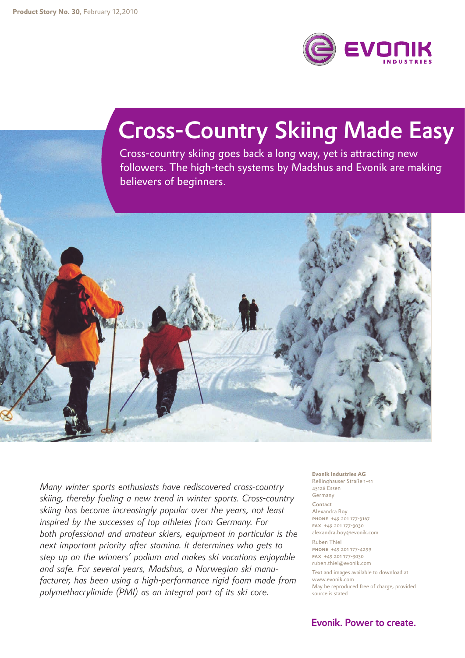

## Cross-Country Skiing Made Easy

Cross-country skiing goes back a long way, yet is attracting new followers. The high-tech systems by Madshus and Evonik are making believers of beginners.



*Many winter sports enthusiasts have rediscovered cross-country skiing, thereby fueling a new trend in winter sports. Cross-country skiing has become increasingly popular over the years, not least inspired by the successes of top athletes from Germany. For both professional and amateur skiers, equipment in particular is the next important priority after stamina. It determines who gets to step up on the winners' podium and makes ski vacations enjoyable and safe. For several years, Madshus, a Norwegian ski manufacturer, has been using a high-performance rigid foam made from polymethacrylimide (PMI) as an integral part of its ski core.*

**Evonik Industries AG** Rellinghauser Straße 1–11 45128 Essen Germany Contact Alexandra Boy phone +49 201 177-3167 fax +49 201 177-3030 alexandra.boy@evonik.com Ruben Thiel

phone +49 201 177-4299 fax +49 201 177-3030 ruben.thiel@evonik.com

Text and images available to download at www.evonik.com May be reproduced free of charge, provided source is stated

Evonik. Power to create.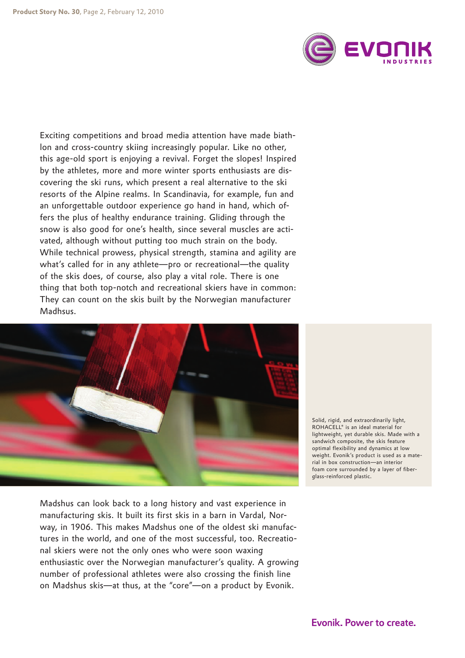

Exciting competitions and broad media attention have made biathlon and cross-country skiing increasingly popular. Like no other, this age-old sport is enjoying a revival. Forget the slopes! Inspired by the athletes, more and more winter sports enthusiasts are discovering the ski runs, which present a real alternative to the ski resorts of the Alpine realms. In Scandinavia, for example, fun and an unforgettable outdoor experience go hand in hand, which offers the plus of healthy endurance training. Gliding through the snow is also good for one's health, since several muscles are activated, although without putting too much strain on the body. While technical prowess, physical strength, stamina and agility are what's called for in any athlete—pro or recreational—the quality of the skis does, of course, also play a vital role. There is one thing that both top-notch and recreational skiers have in common: They can count on the skis built by the Norwegian manufacturer Madhsus.



Solid, rigid, and extraordinarily light, ROHACELL® is an ideal material for lightweight, yet durable skis. Made with a sandwich composite, the skis feature optimal flexibility and dynamics at low weight. Evonik's product is used as a material in box construction—an interior foam core surrounded by a layer of fiberglass-reinforced plastic.

Madshus can look back to a long history and vast experience in manufacturing skis. It built its first skis in a barn in Vardal, Norway, in 1906. This makes Madshus one of the oldest ski manufactures in the world, and one of the most successful, too. Recreational skiers were not the only ones who were soon waxing enthusiastic over the Norwegian manufacturer's quality. A growing number of professional athletes were also crossing the finish line on Madshus skis—at thus, at the "core"—on a product by Evonik.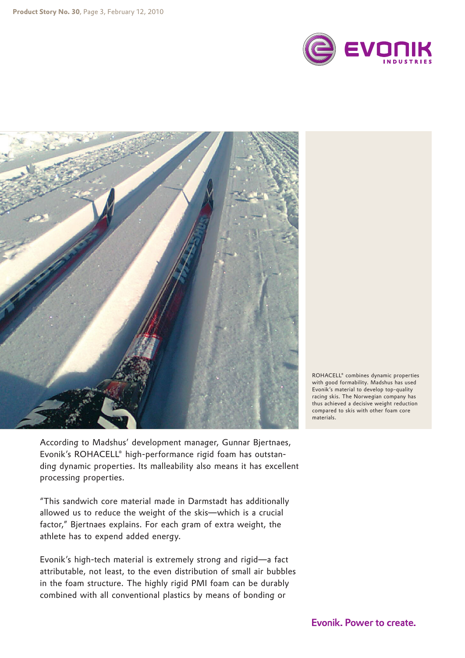



ROHACELL® combines dynamic properties with good formability. Madshus has used Evonik's material to develop top-quality racing skis. The Norwegian company has thus achieved a decisive weight reduction compared to skis with other foam core materials.

According to Madshus' development manager, Gunnar Bjertnaes, Evonik's ROHACELL® high-performance rigid foam has outstanding dynamic properties. Its malleability also means it has excellent processing properties.

"This sandwich core material made in Darmstadt has additionally allowed us to reduce the weight of the skis—which is a crucial factor," Bjertnaes explains. For each gram of extra weight, the athlete has to expend added energy.

Evonik's high-tech material is extremely strong and rigid—a fact attributable, not least, to the even distribution of small air bubbles in the foam structure. The highly rigid PMI foam can be durably combined with all conventional plastics by means of bonding or